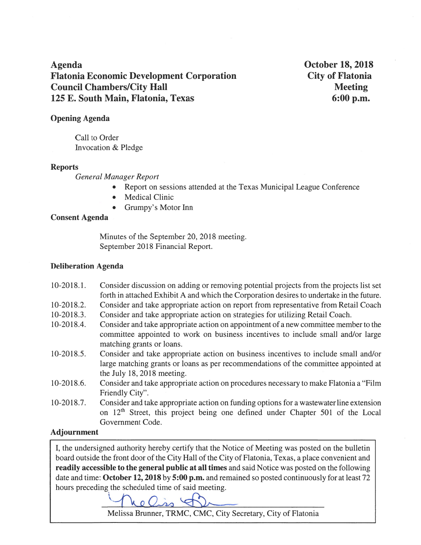**Agenda Flatonia Economic Development Corporation Council Chambers/City Hall** 125 E. South Main, Flatonia, Texas

**October 18, 2018 City of Flatonia Meeting** 6:00 p.m.

## **Opening Agenda**

Call to Order Invocation & Pledge

### **Reports**

**General Manager Report** 

- $\bullet$ Report on sessions attended at the Texas Municipal League Conference
- **Medical Clinic**
- Grumpy's Motor Inn

## **Consent Agenda**

Minutes of the September 20, 2018 meeting. September 2018 Financial Report.

### **Deliberation Agenda**

- $10-2018.1$ . Consider discussion on adding or removing potential projects from the projects list set forth in attached Exhibit A and which the Corporation desires to undertake in the future.
- $10-2018.2.$ Consider and take appropriate action on report from representative from Retail Coach
- Consider and take appropriate action on strategies for utilizing Retail Coach.  $10-2018.3.$
- $10-2018.4.$ Consider and take appropriate action on appointment of a new committee member to the committee appointed to work on business incentives to include small and/or large matching grants or loans.
- $10-2018.5$ . Consider and take appropriate action on business incentives to include small and/or large matching grants or loans as per recommendations of the committee appointed at the July 18, 2018 meeting.
- Consider and take appropriate action on procedures necessary to make Flatonia a "Film  $10-2018.6.$ Friendly City".
- Consider and take appropriate action on funding options for a wastewater line extension  $10-2018.7$ . on 12<sup>th</sup> Street, this project being one defined under Chapter 501 of the Local Government Code.

# **Adjournment**

I, the undersigned authority hereby certify that the Notice of Meeting was posted on the bulletin board outside the front door of the City Hall of the City of Flatonia, Texas, a place convenient and readily accessible to the general public at all times and said Notice was posted on the following date and time: October 12, 2018 by 5:00 p.m. and remained so posted continuously for at least 72 hours preceding the scheduled time of said meeting.

he Ciss &

Melissa Brunner, TRMC, CMC, City Secretary, City of Flatonia